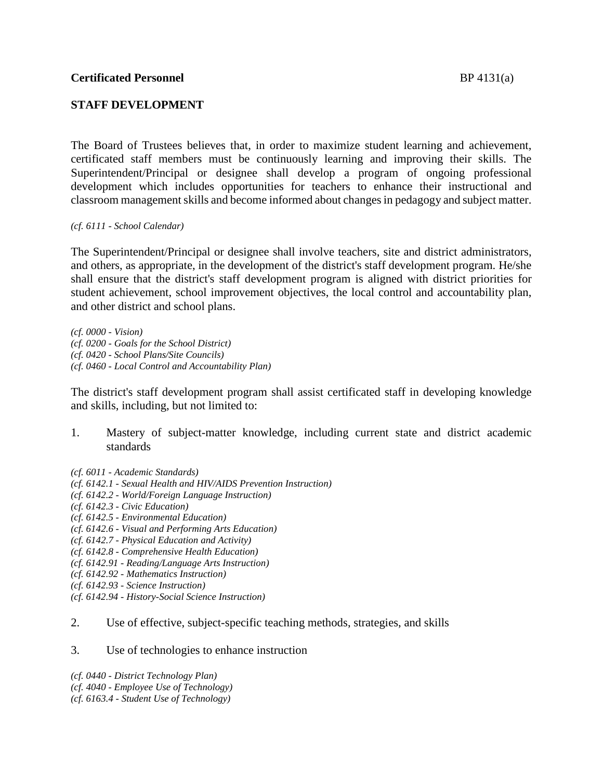## **STAFF DEVELOPMENT**

The Board of Trustees believes that, in order to maximize student learning and achievement, certificated staff members must be continuously learning and improving their skills. The Superintendent/Principal or designee shall develop a program of ongoing professional development which includes opportunities for teachers to enhance their instructional and classroom management skills and become informed about changes in pedagogy and subject matter.

*(cf. 6111 - School Calendar)*

The Superintendent/Principal or designee shall involve teachers, site and district administrators, and others, as appropriate, in the development of the district's staff development program. He/she shall ensure that the district's staff development program is aligned with district priorities for student achievement, school improvement objectives, the local control and accountability plan, and other district and school plans.

*(cf. 0000 - Vision) (cf. 0200 - Goals for the School District) (cf. 0420 - School Plans/Site Councils) (cf. 0460 - Local Control and Accountability Plan)*

The district's staff development program shall assist certificated staff in developing knowledge and skills, including, but not limited to:

- 1. Mastery of subject-matter knowledge, including current state and district academic standards
- *(cf. 6011 - Academic Standards)*
- *(cf. 6142.1 - Sexual Health and HIV/AIDS Prevention Instruction)*
- *(cf. 6142.2 - World/Foreign Language Instruction)*
- *(cf. 6142.3 - Civic Education)*
- *(cf. 6142.5 - Environmental Education)*
- *(cf. 6142.6 - Visual and Performing Arts Education)*
- *(cf. 6142.7 - Physical Education and Activity)*
- *(cf. 6142.8 - Comprehensive Health Education)*
- *(cf. 6142.91 - Reading/Language Arts Instruction)*
- *(cf. 6142.92 - Mathematics Instruction)*
- *(cf. 6142.93 - Science Instruction)*
- *(cf. 6142.94 - History-Social Science Instruction)*
- 2. Use of effective, subject-specific teaching methods, strategies, and skills
- 3. Use of technologies to enhance instruction

*(cf. 0440 - District Technology Plan) (cf. 4040 - Employee Use of Technology) (cf. 6163.4 - Student Use of Technology)*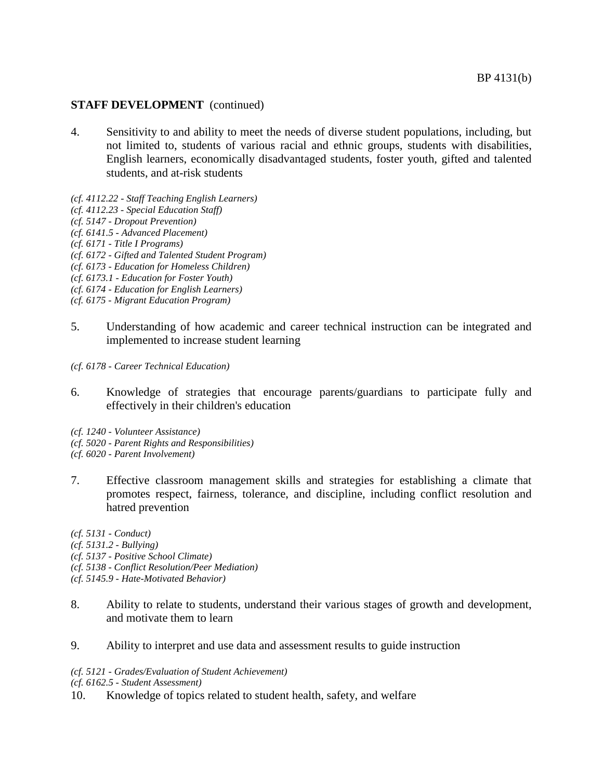- 4. Sensitivity to and ability to meet the needs of diverse student populations, including, but not limited to, students of various racial and ethnic groups, students with disabilities, English learners, economically disadvantaged students, foster youth, gifted and talented students, and at-risk students
- *(cf. 4112.22 - Staff Teaching English Learners)*
- *(cf. 4112.23 - Special Education Staff)*
- *(cf. 5147 - Dropout Prevention)*
- *(cf. 6141.5 - Advanced Placement)*
- *(cf. 6171 - Title I Programs)*
- *(cf. 6172 - Gifted and Talented Student Program)*
- *(cf. 6173 - Education for Homeless Children)*
- *(cf. 6173.1 - Education for Foster Youth)*
- *(cf. 6174 - Education for English Learners)*
- *(cf. 6175 - Migrant Education Program)*
- 5. Understanding of how academic and career technical instruction can be integrated and implemented to increase student learning
- *(cf. 6178 - Career Technical Education)*
- 6. Knowledge of strategies that encourage parents/guardians to participate fully and effectively in their children's education
- *(cf. 1240 - Volunteer Assistance)*
- *(cf. 5020 - Parent Rights and Responsibilities)*
- *(cf. 6020 - Parent Involvement)*
- 7. Effective classroom management skills and strategies for establishing a climate that promotes respect, fairness, tolerance, and discipline, including conflict resolution and hatred prevention
- *(cf. 5131 - Conduct)*
- *(cf. 5131.2 - Bullying)*
- *(cf. 5137 - Positive School Climate)*
- *(cf. 5138 - Conflict Resolution/Peer Mediation)*
- *(cf. 5145.9 - Hate-Motivated Behavior)*
- 8. Ability to relate to students, understand their various stages of growth and development, and motivate them to learn
- 9. Ability to interpret and use data and assessment results to guide instruction

*(cf. 5121 - Grades/Evaluation of Student Achievement)*

*(cf. 6162.5 - Student Assessment)*

10. Knowledge of topics related to student health, safety, and welfare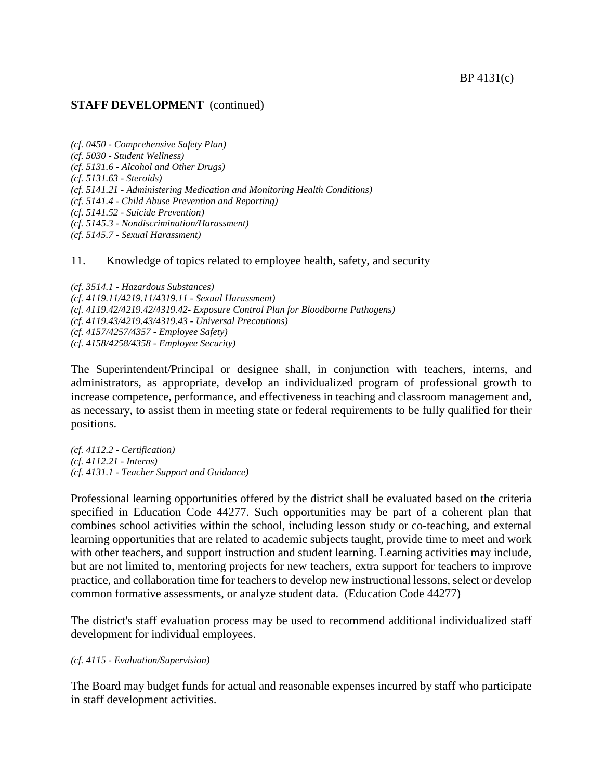```
(cf. 0450 - Comprehensive Safety Plan)
(cf. 5030 - Student Wellness)
(cf. 5131.6 - Alcohol and Other Drugs)
(cf. 5131.63 - Steroids)
(cf. 5141.21 - Administering Medication and Monitoring Health Conditions)
(cf. 5141.4 - Child Abuse Prevention and Reporting)
(cf. 5141.52 - Suicide Prevention)
(cf. 5145.3 - Nondiscrimination/Harassment)
(cf. 5145.7 - Sexual Harassment)
```
11. Knowledge of topics related to employee health, safety, and security

*(cf. 3514.1 - Hazardous Substances) (cf. 4119.11/4219.11/4319.11 - Sexual Harassment) (cf. 4119.42/4219.42/4319.42- Exposure Control Plan for Bloodborne Pathogens) (cf. 4119.43/4219.43/4319.43 - Universal Precautions) (cf. 4157/4257/4357 - Employee Safety) (cf. 4158/4258/4358 - Employee Security)*

The Superintendent/Principal or designee shall, in conjunction with teachers, interns, and administrators, as appropriate, develop an individualized program of professional growth to increase competence, performance, and effectiveness in teaching and classroom management and, as necessary, to assist them in meeting state or federal requirements to be fully qualified for their positions.

*(cf. 4112.2 - Certification) (cf. 4112.21 - Interns) (cf. 4131.1 - Teacher Support and Guidance)*

Professional learning opportunities offered by the district shall be evaluated based on the criteria specified in Education Code 44277. Such opportunities may be part of a coherent plan that combines school activities within the school, including lesson study or co-teaching, and external learning opportunities that are related to academic subjects taught, provide time to meet and work with other teachers, and support instruction and student learning. Learning activities may include, but are not limited to, mentoring projects for new teachers, extra support for teachers to improve practice, and collaboration time for teachers to develop new instructional lessons, select or develop common formative assessments, or analyze student data. (Education Code 44277)

The district's staff evaluation process may be used to recommend additional individualized staff development for individual employees.

### *(cf. 4115 - Evaluation/Supervision)*

The Board may budget funds for actual and reasonable expenses incurred by staff who participate in staff development activities.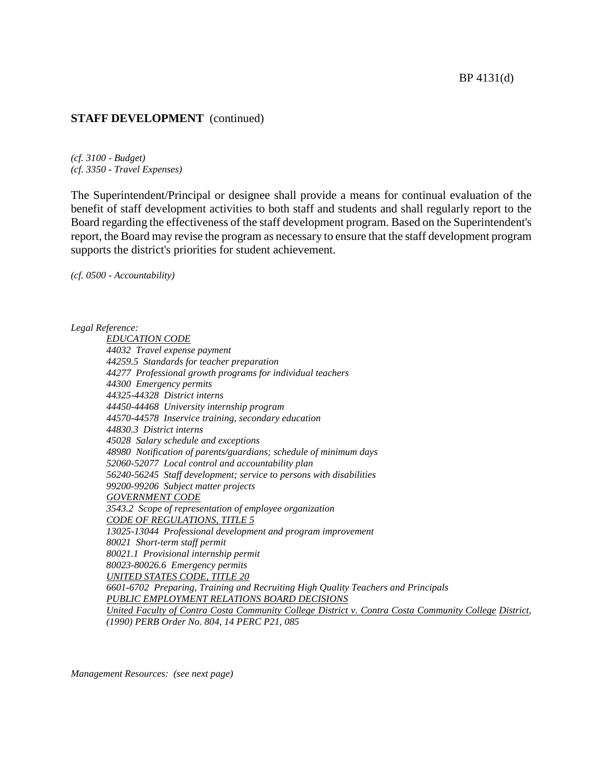*(cf. 3100 - Budget) (cf. 3350 - Travel Expenses)*

The Superintendent/Principal or designee shall provide a means for continual evaluation of the benefit of staff development activities to both staff and students and shall regularly report to the Board regarding the effectiveness of the staff development program. Based on the Superintendent's report, the Board may revise the program as necessary to ensure that the staff development program supports the district's priorities for student achievement.

*(cf. 0500 - Accountability)*

#### *Legal Reference:*

*EDUCATION CODE 44032 Travel expense payment 44259.5 Standards for teacher preparation 44277 Professional growth programs for individual teachers 44300 Emergency permits 44325-44328 District interns 44450-44468 University internship program 44570-44578 Inservice training, secondary education 44830.3 District interns 45028 Salary schedule and exceptions 48980 Notification of parents/guardians; schedule of minimum days 52060-52077 Local control and accountability plan 56240-56245 Staff development; service to persons with disabilities 99200-99206 Subject matter projects GOVERNMENT CODE 3543.2 Scope of representation of employee organization CODE OF REGULATIONS, TITLE 5 13025-13044 Professional development and program improvement 80021 Short-term staff permit 80021.1 Provisional internship permit 80023-80026.6 Emergency permits UNITED STATES CODE, TITLE 20 6601-6702 Preparing, Training and Recruiting High Quality Teachers and Principals PUBLIC EMPLOYMENT RELATIONS BOARD DECISIONS United Faculty of Contra Costa Community College District v. Contra Costa Community College District, (1990) PERB Order No. 804, 14 PERC P21, 085*

*Management Resources: (see next page)*